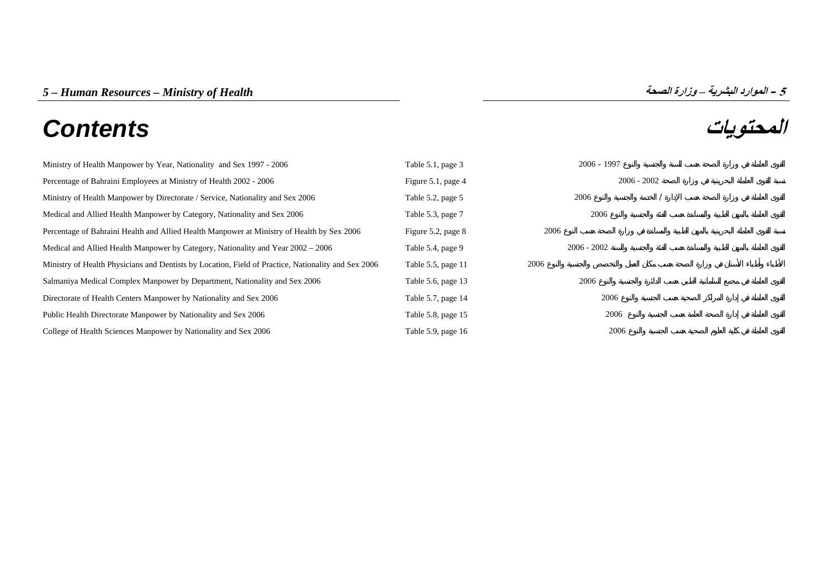# **المحتويات** *Contents*

| Ministry of Health Manpower by Year, Nationality and Sex 1997 - 2006                                | Table 5.1, page 3  | $2006 - 1997$ |
|-----------------------------------------------------------------------------------------------------|--------------------|---------------|
| Percentage of Bahraini Employees at Ministry of Health 2002 - 2006                                  | Figure 5.1, page 4 | $2006 - 2002$ |
| Ministry of Health Manpower by Directorate / Service, Nationality and Sex 2006                      | Table 5.2, page 5  | 2006          |
| Medical and Allied Health Manpower by Category, Nationality and Sex 2006                            | Table 5.3, page 7  | 2006          |
| Percentage of Bahraini Health and Allied Health Manpower at Ministry of Health by Sex 2006          | Figure 5.2, page 8 | 2006          |
| Medical and Allied Health Manpower by Category, Nationality and Year 2002 – 2006                    | Table 5.4, page 9  | $2006 - 2002$ |
| Ministry of Health Physicians and Dentists by Location, Field of Practice, Nationality and Sex 2006 | Table 5.5, page 11 | 2006          |
| Salmaniya Medical Complex Manpower by Department, Nationality and Sex 2006                          | Table 5.6, page 13 | 2006          |
| Directorate of Health Centers Manpower by Nationality and Sex 2006                                  | Table 5.7, page 14 | 2006          |
| Public Health Directorate Manpower by Nationality and Sex 2006                                      | Table 5.8, page 15 | 2006          |
| College of Health Sciences Manpower by Nationality and Sex 2006                                     | Table 5.9, page 16 | 2006          |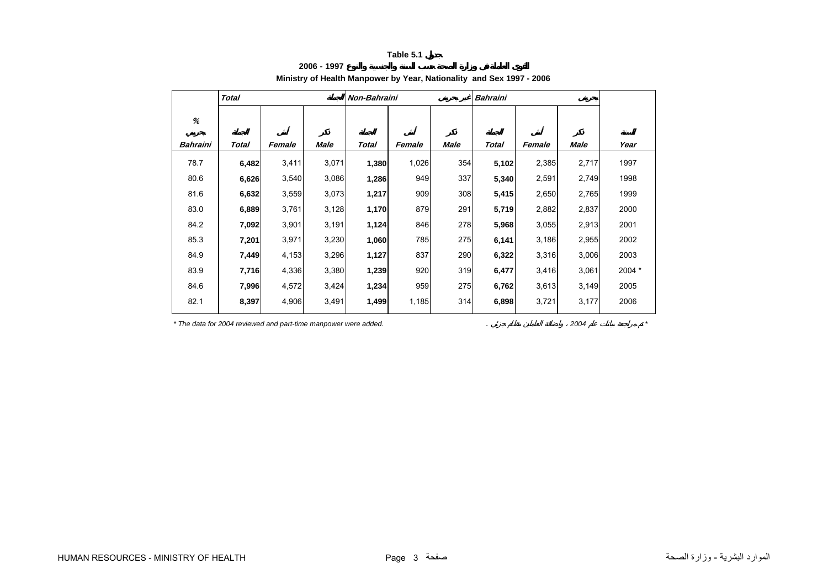**2006 - 1997**

# **Ministry of Health Manpower by Year, Nationality and Sex 1997 - 2006**

<span id="page-1-0"></span>

|          | <b>Total</b> |        |       | Non-Bahraini |        |      | <b>Bahraini</b> |        |       |        |
|----------|--------------|--------|-------|--------------|--------|------|-----------------|--------|-------|--------|
| %        |              |        |       |              |        |      |                 |        |       |        |
| Bahraini | Total        | Female | Male  | Total        | Female | Male | Total           | Female | Male  | Year   |
| 78.7     | 6,482        | 3,411  | 3,071 | 1,380        | 1,026  | 354  | 5,102           | 2,385  | 2,717 | 1997   |
| 80.6     | 6,626        | 3,540  | 3,086 | 1,286        | 949    | 337  | 5,340           | 2,591  | 2,749 | 1998   |
| 81.6     | 6,632        | 3,559  | 3,073 | 1,217        | 909    | 308  | 5,415           | 2,650  | 2,765 | 1999   |
| 83.0     | 6,889        | 3,761  | 3,128 | 1,170        | 879    | 291  | 5,719           | 2,882  | 2,837 | 2000   |
| 84.2     | 7,092        | 3,901  | 3,191 | 1,124        | 846    | 278  | 5,968           | 3,055  | 2,913 | 2001   |
| 85.3     | 7,201        | 3,971  | 3,230 | 1,060        | 785    | 275  | 6,141           | 3,186  | 2,955 | 2002   |
| 84.9     | 7,449        | 4,153  | 3,296 | 1,127        | 837    | 290  | 6,322           | 3,316  | 3,006 | 2003   |
| 83.9     | 7,716        | 4,336  | 3,380 | 1,239        | 920    | 319  | 6,477           | 3,416  | 3,061 | 2004 * |
| 84.6     | 7,996        | 4,572  | 3,424 | 1,234        | 959    | 275  | 6,762           | 3,613  | 3,149 | 2005   |
| 82.1     | 8,397        | 4,906  | 3,491 | 1,499        | 1,185  | 314  | 6,898           | 3,721  | 3,177 | 2006   |

*\* The data for 2004 reviewed and part-time manpower were added.* . *2004 \**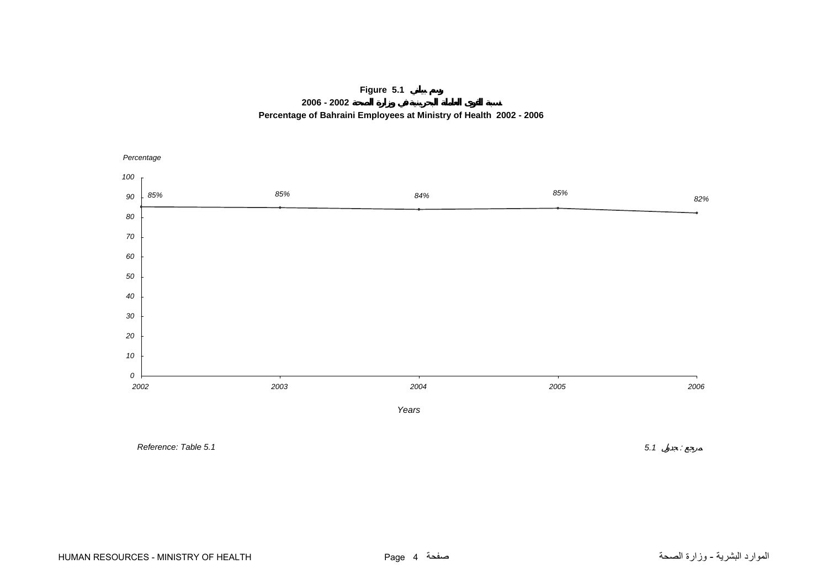# **Figure 5.1**

**2006 - 2002**



<span id="page-2-0"></span>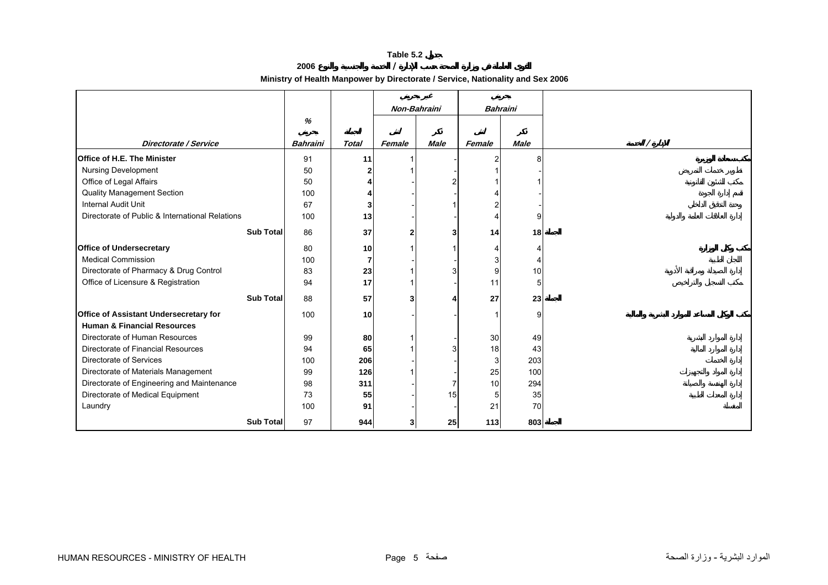**2006 /** 

**Ministry of Health Manpower by Directorate / Service, Nationality and Sex 2006**

<span id="page-3-0"></span>

|                                                 |                  |                 |              | Non-Bahraini |             | <b>Bahraini</b> |             |  |
|-------------------------------------------------|------------------|-----------------|--------------|--------------|-------------|-----------------|-------------|--|
|                                                 |                  | %               |              |              |             |                 |             |  |
|                                                 |                  |                 |              |              |             |                 |             |  |
| Directorate / Service                           |                  | <b>Bahraini</b> | <b>Total</b> | Female       | <b>Male</b> | Female          | <b>Male</b> |  |
| <b>Office of H.E. The Minister</b>              |                  | 91              | 11           |              |             | $\overline{2}$  |             |  |
| <b>Nursing Development</b>                      |                  | 50              | 2            |              |             | 1               |             |  |
| Office of Legal Affairs                         |                  | 50              |              |              |             |                 |             |  |
| Quality Management Section                      |                  | 100             |              |              |             |                 |             |  |
| <b>Internal Audit Unit</b>                      |                  | 67              | 3            |              |             | 2               |             |  |
| Directorate of Public & International Relations |                  | 100             | 13           |              |             | $\overline{4}$  | g           |  |
|                                                 | <b>Sub Total</b> | 86              | 37           |              | 3           | 14              | 18          |  |
|                                                 |                  |                 |              |              |             |                 |             |  |
| <b>Office of Undersecretary</b>                 |                  | 80              | 10           |              |             | 4               |             |  |
| <b>Medical Commission</b>                       |                  | 100             | 7            |              |             | 3               |             |  |
| Directorate of Pharmacy & Drug Control          |                  | 83              | 23           |              |             | 9               | 10          |  |
| Office of Licensure & Registration              |                  | 94              | 17           |              |             | 11              | 5           |  |
|                                                 | <b>Sub Total</b> | 88              | 57           |              |             | 27              | 23          |  |
| Office of Assistant Undersecretary for          |                  | 100             | 10           |              |             | -1              | g           |  |
| <b>Human &amp; Financial Resources</b>          |                  |                 |              |              |             |                 |             |  |
| Directorate of Human Resources                  |                  | 99              | 80           |              |             | 30              | 49          |  |
| Directorate of Financial Resources              |                  | 94              | 65           |              |             | 18              | 43          |  |
| Directorate of Services                         |                  | 100             | 206          |              |             | 3               | 203         |  |
| Directorate of Materials Management             |                  | 99              | 126          |              |             | 25              | 100         |  |
| Directorate of Engineering and Maintenance      |                  | 98              | 311          |              |             | 10              | 294         |  |
| Directorate of Medical Equipment                |                  | 73              | 55           |              | 15          | 5 <sup>5</sup>  | 35          |  |
| Laundry                                         |                  | 100             | 91           |              |             | 21              | 70          |  |
|                                                 | <b>Sub Total</b> | 97              | 944          |              | 25          | 113             | 803         |  |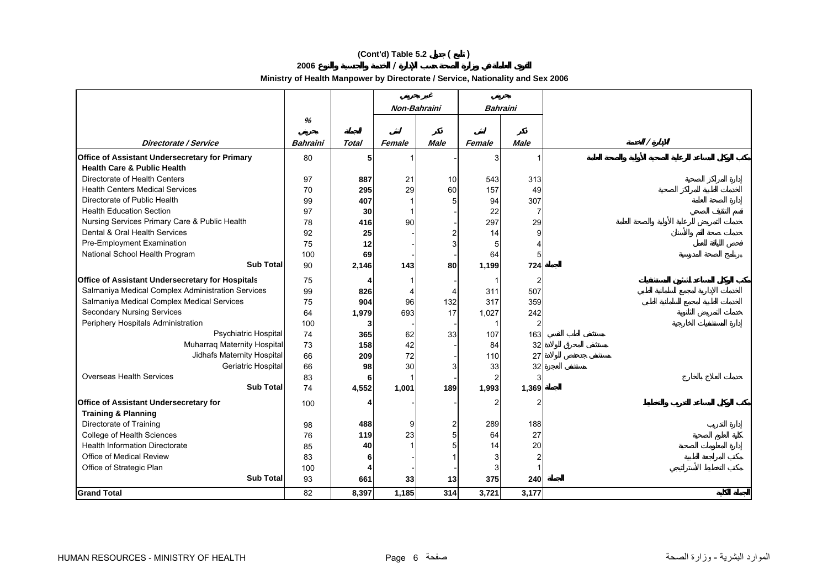# **(Cont'd) Table 5.2 ( )**

**2006 /** 

**Ministry of Health Manpower by Directorate / Service, Nationality and Sex 2006**

|                                                   |          |              | Non-Bahraini   |             | Bahraini |                |  |
|---------------------------------------------------|----------|--------------|----------------|-------------|----------|----------------|--|
|                                                   | %        |              |                |             |          |                |  |
| Directorate / Service                             | Bahraini | <b>Total</b> | Female         | <b>Male</b> | Female   | <b>Male</b>    |  |
| Office of Assistant Undersecretary for Primary    | 80       | 5            | 1              |             | 3        | 1              |  |
| <b>Health Care &amp; Public Health</b>            |          |              |                |             |          |                |  |
| Directorate of Health Centers                     | 97       | 887          | 21             | 10          | 543      | 313            |  |
| <b>Health Centers Medical Services</b>            | 70       | 295          | 29             | 60          | 157      | 49             |  |
| Directorate of Public Health                      | 99       | 407          | $\overline{1}$ |             | 94       | 307            |  |
| <b>Health Education Section</b>                   | 97       | 30           | -1             |             | 22       | $\overline{7}$ |  |
| Nursing Services Primary Care & Public Health     | 78       | 416          | 90             |             | 297      | 29             |  |
| Dental & Oral Health Services                     | 92       | 25           |                |             | 14       | 9              |  |
| Pre-Employment Examination                        | 75       | 12           |                |             | 5        | 4              |  |
| National School Health Program                    | 100      | 69           |                |             | 64       | 5              |  |
| <b>Sub Total</b>                                  | 90       | 2,146        | 143            | 80          | 1,199    | 724            |  |
| Office of Assistant Undersecretary for Hospitals  | 75       |              | -1             |             | 1        | $\overline{2}$ |  |
| Salmaniya Medical Complex Administration Services | 99       | 826          | $\overline{4}$ |             | 311      | 507            |  |
| Salmaniya Medical Complex Medical Services        | 75       | 904          | 96             | 132         | 317      | 359            |  |
| <b>Secondary Nursing Services</b>                 | 64       | 1,979        | 693            | 17          | 1,027    | 242            |  |
| Periphery Hospitals Administration                | 100      | 3            |                |             |          | 2              |  |
| Psychiatric Hospital                              | 74       | 365          | 62             | 33          | 107      | 163            |  |
| Muharraq Maternity Hospital                       | 73       | 158          | 42             |             | 84       | 32             |  |
| Jidhafs Maternity Hospital                        | 66       | 209          | 72             |             | 110      | 27             |  |
| Geriatric Hospital                                | 66       | 98           | 30             |             | 33       | 32             |  |
| <b>Overseas Health Services</b>                   | 83       | 6            |                |             | 2        | 3              |  |
| <b>Sub Total</b>                                  | 74       | 4,552        | 1,001          | 189         | 1,993    | 1,369          |  |
| Office of Assistant Undersecretary for            | 100      |              |                |             | 2        | $\overline{2}$ |  |
| <b>Training &amp; Planning</b>                    |          |              |                |             |          |                |  |
| Directorate of Training                           | 98       | 488          | 9              | 2           | 289      | 188            |  |
| College of Health Sciences                        | 76       | 119          | 23             | 5           | 64       | 27             |  |
| <b>Health Information Directorate</b>             | 85       | 40           |                |             | 14       | 20             |  |
| Office of Medical Review                          | 83       | 6            |                |             | 3        | $\overline{2}$ |  |
| Office of Strategic Plan                          | 100      | 4            |                |             | 3        |                |  |
| <b>Sub Total</b>                                  | 93       | 661          | 33             | 13          | 375      | 240            |  |
| <b>Grand Total</b>                                | 82       | 8,397        | 1,185          | 314         | 3,721    | 3,177          |  |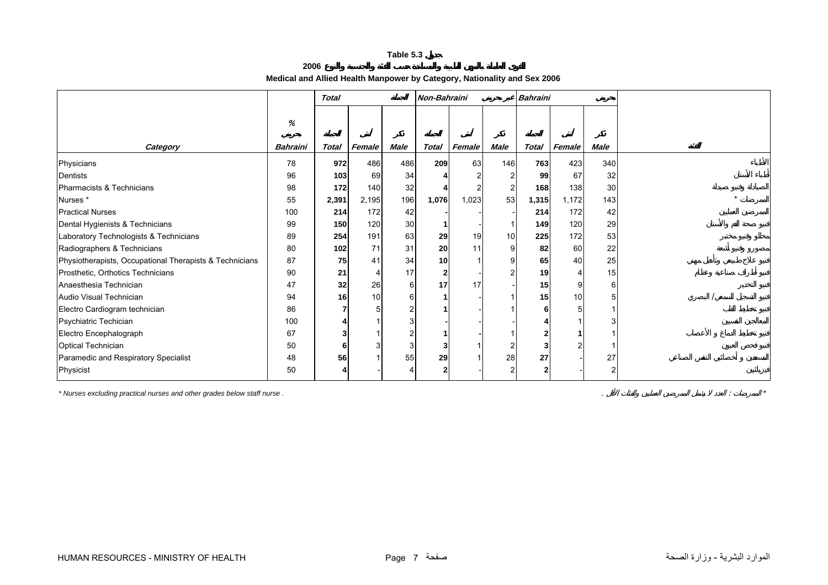# **2006Medical and Allied Health Manpower by Category, Nationality and Sex 2006**

<span id="page-5-0"></span>

|                                                         |               | <b>Total</b> |        |             | Non-Bahraini    |        |             | <b>Bahraini</b> |        |             |  |
|---------------------------------------------------------|---------------|--------------|--------|-------------|-----------------|--------|-------------|-----------------|--------|-------------|--|
| Category                                                | %<br>Bahraini | Total        | Female | <b>Male</b> | Total           | Female | <b>Male</b> | Total           | Female | <b>Male</b> |  |
|                                                         | 78            | 972          | 486    |             | 209             | 63     | 146         | 763             | 423    | 340         |  |
| Physicians                                              |               |              |        | 486         |                 |        |             |                 |        |             |  |
| Dentists                                                | 96            | 103          | 69     | 34          |                 |        |             | 99              | 67     | 32          |  |
| Pharmacists & Technicians                               | 98            | 172          | 140    | 32          |                 |        |             | 168             | 138    | 30          |  |
| Nurses <sup>*</sup>                                     | 55            | 2,391        | 2,195  | 196         | 1,076           | 1,023  | 53          | 1,315           | 1,172  | 143         |  |
| <b>Practical Nurses</b>                                 | 100           | 214          | 172    | 42          |                 |        |             | 214             | 172    | 42          |  |
| Dental Hygienists & Technicians                         | 99            | 150          | 120    | 30          |                 |        |             | 149             | 120    | 29          |  |
| Laboratory Technologists & Technicians                  | 89            | 254          | 191    | 63          | 29              | 19     | 10          | 225             | 172    | 53          |  |
| Radiographers & Technicians                             | 80            | 102          | 71     | 31          | 20              | 11     | 9           | 82              | 60     | 22          |  |
| Physiotherapists, Occupational Therapists & Technicians | 87            | 75           | 41     | 34          | 10 <sup>1</sup> |        |             | 65              | 40     | 25          |  |
| Prosthetic, Orthotics Technicians                       | 90            | 21           |        | 17          | $\mathbf{2}$    |        | ົ           | 19              |        | 15          |  |
| Anaesthesia Technician                                  | 47            | 32           | 26     | 6           | 17              | 17     |             | 15              | 9      | 6           |  |
| Audio Visual Technician                                 | 94            | 16           | 10     |             |                 |        |             | 15              | 10     |             |  |
| Electro Cardiogram technician                           | 86            |              |        |             |                 |        |             |                 |        |             |  |
| Psychiatric Techician                                   | 100           |              |        |             |                 |        |             |                 |        |             |  |
| Electro Encephalograph                                  | 67            |              |        |             |                 |        |             |                 |        |             |  |
| <b>Optical Technician</b>                               | 50            | 6            |        |             |                 |        |             |                 |        |             |  |
| Paramedic and Respiratory Specialist                    | 48            | 56           |        | 55          | 29              |        | 28          | 27              |        | 27          |  |
| Physicist                                               | 50            |              |        |             | 2               |        |             |                 |        |             |  |

*\* Nurses excluding practical nurses and other grades below staff nurse .* . : *\**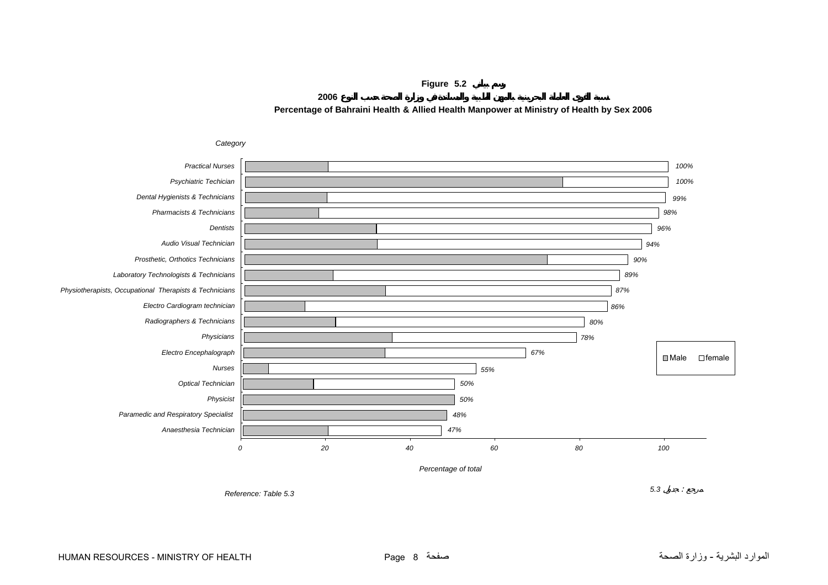

<span id="page-6-0"></span>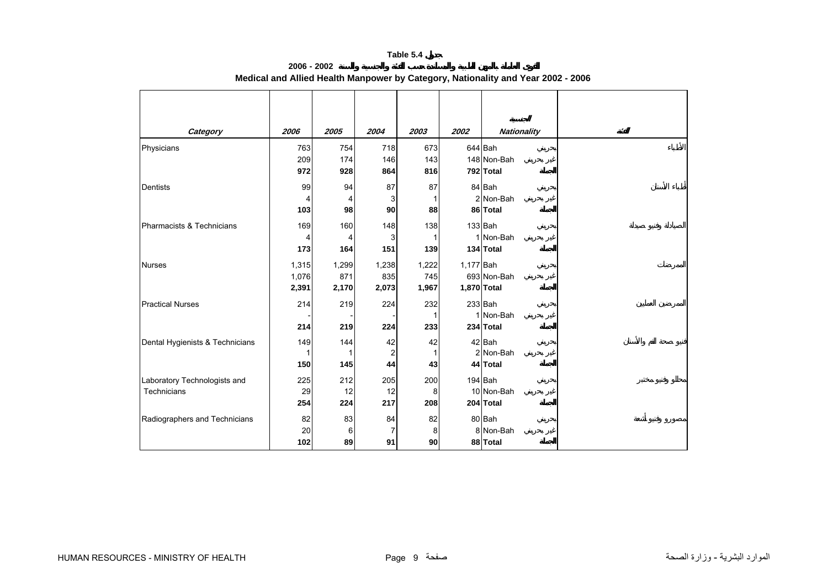**2006 - 2002**

| Category                        | 2006  | 2005  | 2004   | 2003  | 2002        | <b>Nationality</b> |
|---------------------------------|-------|-------|--------|-------|-------------|--------------------|
| Physicians                      | 763   | 754   | 718    | 673   |             | 644 Bah            |
|                                 | 209   | 174   | 146    | 143   |             | 148 Non-Bah        |
|                                 | 972   | 928   | 864    | 816   |             | 792 Total          |
| Dentists                        | 99    | 94    | 87     | 87    |             | 84 Bah             |
|                                 | 4     |       | 3      |       |             | 2 Non-Bah          |
|                                 | 103   | 98    | $90\,$ | 88    |             | 86 Total           |
| Pharmacists & Technicians       | 169   | 160   | 148    | 138   |             | $133$ Bah          |
|                                 | 4     |       | 3      |       |             | 1 Non-Bah          |
|                                 | 173   | 164   | 151    | 139   |             | 134 Total          |
| <b>Nurses</b>                   | 1,315 | 1,299 | 1,238  | 1,222 | 1,177 Bah   |                    |
|                                 | 1,076 | 871   | 835    | 745   |             | 693 Non-Bah        |
|                                 | 2,391 | 2,170 | 2,073  | 1,967 | 1,870 Total |                    |
| <b>Practical Nurses</b>         | 214   | 219   | 224    | 232   |             | $233$ Bah          |
|                                 |       |       |        |       |             | 1 Non-Bah          |
|                                 | 214   | 219   | 224    | 233   |             | 234 Total          |
| Dental Hygienists & Technicians | 149   | 144   | 42     | 42    |             | 42 Bah             |
|                                 |       |       | 2      |       |             | 2 Non-Bah          |
|                                 | 150   | 145   | 44     | 43    |             | 44 Total           |
| Laboratory Technologists and    | 225   | 212   | 205    | 200   |             | 194 Bah            |
| Technicians                     | 29    | 12    | 12     | 8     |             | 10 Non-Bah         |
|                                 | 254   | 224   | 217    | 208   |             | 204 Total          |
| Radiographers and Technicians   | 82    | 83    | 84     | 82    |             | 80 Bah             |
|                                 | 20    | 6     | 7      | 8     |             | 8 Non-Bah          |
|                                 | 102   | 89    | 91     | 90    |             | 88 Total           |

**Medical and Allied Health Manpower by Category, Nationality and Year 2002 - 2006**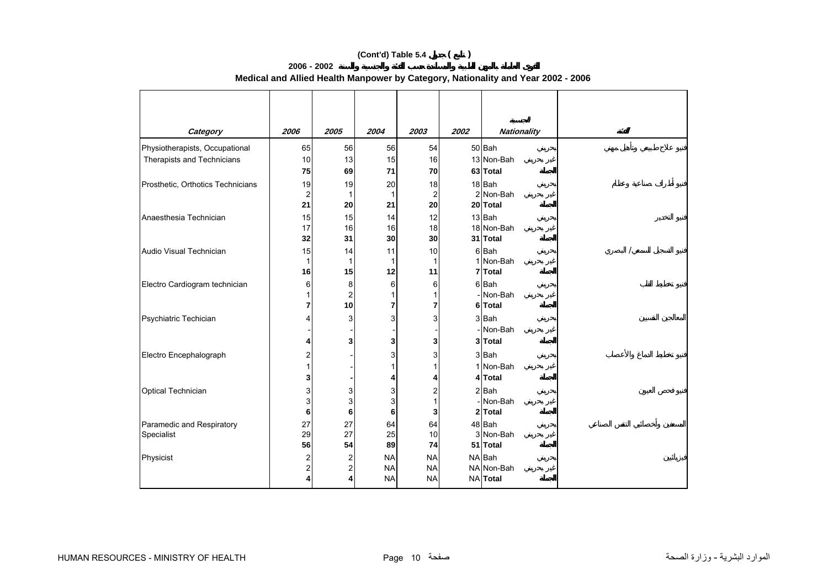# **(Cont'd) Table 5.4 ( )**

| Category                          | 2006           | 2005                                               | 2004      | 2003           | 2002 | <b>Nationality</b>    |
|-----------------------------------|----------------|----------------------------------------------------|-----------|----------------|------|-----------------------|
| Physiotherapists, Occupational    | 65             | 56                                                 | 56        | 54             |      | 50 Bah                |
| Therapists and Technicians        | 10             | 13                                                 | 15        | 16             |      | 13 Non-Bah            |
|                                   | 75             | 69                                                 | 71        | 70             |      | 63 Total              |
| Prosthetic, Orthotics Technicians | 19             | 19                                                 | 20        | 18             |      | 18 Bah                |
|                                   | $\overline{2}$ | 1                                                  |           | $\overline{2}$ |      | 2 Non-Bah             |
|                                   | 21             | 20                                                 | 21        | 20             |      | 20 Total              |
| Anaesthesia Technician            | 15             | 15                                                 | 14        | 12             |      | 13 Bah                |
|                                   | 17             | 16                                                 | 16        | 18             |      | 18 Non-Bah            |
|                                   | 32             | 31                                                 | 30        | 30             |      | 31 Total              |
| Audio Visual Technician           | 15<br>1        | 14<br>$\mathbf{1}$                                 | 11<br>1   | 10<br>1        |      | 6 Bah<br>1 Non-Bah    |
|                                   | 16             | 15                                                 | 12        | 11             |      | 7 Total               |
| Electro Cardiogram technician     | 6              | 8                                                  | 6         | 6              |      | 6 Bah                 |
|                                   |                | $\overline{\mathbf{c}}$                            | 1         | 1              |      | Non-Bah               |
|                                   | 7              | 10                                                 | 7         | 7              |      | 6 Total               |
| Psychiatric Techician             |                | 3                                                  | 3         | 3              |      | 3 Bah                 |
|                                   |                |                                                    |           |                |      | Non-Bah               |
|                                   |                | 3                                                  | 3         | 3              |      | 3 Total               |
| Electro Encephalograph            | 2              |                                                    | 3         | 3              |      | 3Bah                  |
|                                   |                |                                                    |           | 1              |      | 1 Non-Bah             |
|                                   |                |                                                    | 4         | 4              |      | 4 Total               |
| Optical Technician                | 3              | 3                                                  | 3         | 2              |      | 2 Bah                 |
|                                   | 3              | 3                                                  | 3         | 1              |      | Non-Bah               |
|                                   | 6              | 6                                                  | 6         | 3              |      | 2 Total               |
| Paramedic and Respiratory         | 27             | 27                                                 | 64        | 64             |      | 48 Bah                |
| Specialist                        | 29<br>56       | 27<br>54                                           | 25<br>89  | 10<br>74       |      | 3 Non-Bah<br>51 Total |
| Physicist                         | 2              |                                                    | <b>NA</b> | <b>NA</b>      |      | NA Bah                |
|                                   | 2              | $\overline{\mathbf{c}}$<br>$\overline{\mathbf{c}}$ | <b>NA</b> | <b>NA</b>      |      | NA Non-Bah            |
|                                   |                | 4                                                  | <b>NA</b> | <b>NA</b>      |      | <b>NA</b> Total       |
|                                   |                |                                                    |           |                |      |                       |

# **Medical and Allied Health Manpower by Category, Nationality and Year 2002 - 2006**

**2006 - 2002**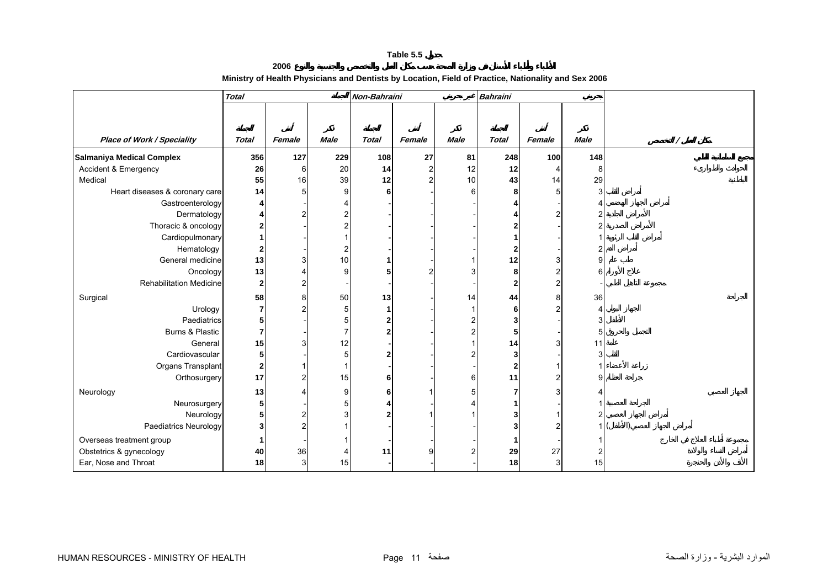#### **2006 Ministry of Health Physicians and Dentists by Location, Field of Practice, Nationality and Sex 2006**

<span id="page-9-0"></span>

|                                   | <b>Total</b> |                |                         | Non-Bahraini |                |                | <b>Bahraini</b>         |        |             |  |
|-----------------------------------|--------------|----------------|-------------------------|--------------|----------------|----------------|-------------------------|--------|-------------|--|
|                                   |              |                |                         |              |                |                |                         |        |             |  |
|                                   |              |                |                         |              |                |                |                         |        |             |  |
| <b>Place of Work / Speciality</b> | <b>Total</b> | Female         | <b>Male</b>             | <b>Total</b> | Female         | <b>Male</b>    | <b>Total</b>            | Female | <b>Male</b> |  |
| Salmaniya Medical Complex         | 356          | 127            | 229                     | 108          | 27             | 81             | 248                     | 100    | 148         |  |
| Accident & Emergency              | 26           | 6              | 20                      | 14           | $\overline{c}$ | 12             | 12                      | Δ      | 8           |  |
| Medical                           | 55           | 16             | 39                      | 12           | 2              | 10             | 43                      | 14     | 29          |  |
| Heart diseases & coronary care    | 14           | 51             | 9                       | 6            |                | 6              | 8                       |        | 3           |  |
| Gastroenterology                  |              |                |                         |              |                |                |                         |        |             |  |
| Dermatology                       |              | 2              | $\overline{2}$          |              |                |                |                         |        |             |  |
| Thoracic & oncology               | 2            |                | $\overline{2}$          |              |                |                |                         |        |             |  |
| Cardiopulmonary                   |              |                |                         |              |                |                |                         |        |             |  |
| Hematology                        | $\mathbf{2}$ |                | $\overline{\mathbf{c}}$ |              |                |                | 2                       |        |             |  |
| General medicine                  | 13           |                | 10                      |              |                |                | 12                      |        | 9           |  |
| Oncology                          | 13           |                | 9                       |              | 2              |                | 8                       |        | հ           |  |
| <b>Rehabilitation Medicine</b>    | $\mathbf{2}$ | $\overline{c}$ |                         |              |                |                | 2                       |        |             |  |
| Surgical                          | 58           | 8              | 50                      | 13           |                | 14             | 44                      |        | 36          |  |
| Urology                           | 7            |                | $\overline{5}$          |              |                | 1              | 6                       |        | 4           |  |
| Paediatrics                       | 5            |                | 5                       |              |                | $\overline{2}$ | 3                       |        | 3           |  |
| Burns & Plastic                   |              |                | $\overline{7}$          | 2            |                | 2              | 5                       |        | 5           |  |
| General                           | 15           | 3              | 12                      |              |                |                | 14                      |        | 11          |  |
| Cardiovascular                    | 5            |                | $\overline{5}$          |              |                |                | 3                       |        | 3           |  |
| Organs Transplant                 | $\mathbf{2}$ |                | $\mathbf{1}$            |              |                |                | $\overline{\mathbf{2}}$ |        |             |  |
| Orthosurgery                      | 17           | 2              | 15                      | 6            |                | 6              | 11                      |        | g           |  |
| Neurology                         | 13           |                | 9                       | 6.           |                | 5              |                         |        |             |  |
| Neurosurgery                      | 5            |                | 5                       |              |                |                |                         |        |             |  |
| Neurology                         | 5            | $\overline{2}$ | 3                       |              |                |                |                         |        | 2           |  |
| Paediatrics Neurology             | 3            | $\overline{c}$ |                         |              |                |                | 2                       |        | 1           |  |
| Overseas treatment group          |              |                |                         |              |                |                |                         |        |             |  |
| Obstetrics & gynecology           | 40           | 36             |                         | 11           | 9              |                | 29                      | 27     |             |  |
| Ear, Nose and Throat              | 18           | $\overline{3}$ | 15                      |              |                |                | 18                      | 3      | 15          |  |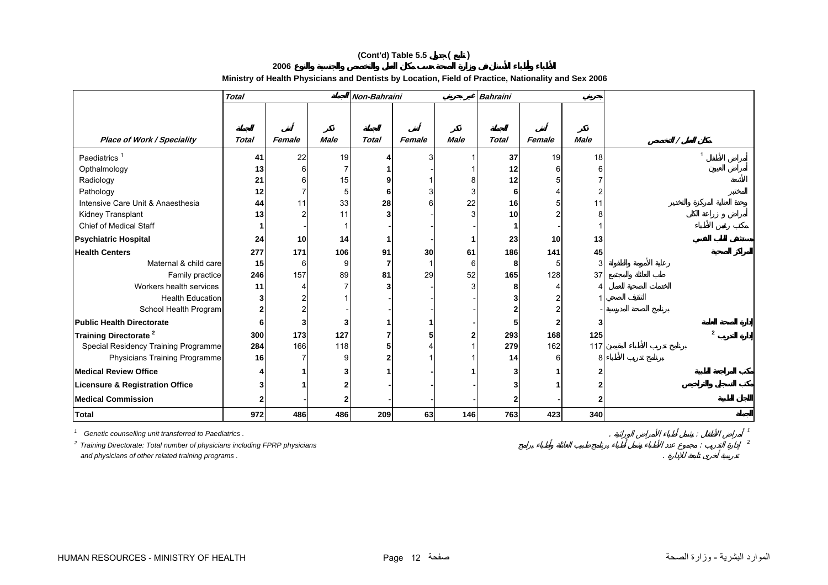# **(Cont'd) Table 5.5 ( )**

**2006**

#### **Ministry of Health Physicians and Dentists by Location, Field of Practice, Nationality and Sex 2006**

|                                            | <b>Total</b> |        |             | Non-Bahraini |        |             | <b>Bahraini</b> |        |             |                          |
|--------------------------------------------|--------------|--------|-------------|--------------|--------|-------------|-----------------|--------|-------------|--------------------------|
|                                            |              |        |             |              |        |             |                 |        |             |                          |
|                                            |              |        |             |              |        |             |                 |        |             |                          |
| <b>Place of Work / Speciality</b>          | Total        | Female | <b>Male</b> | <b>Total</b> | Female | <b>Male</b> | <b>Total</b>    | Female | <b>Male</b> |                          |
| Paediatrics <sup>1</sup>                   | 41           | 22     | 19          |              |        |             | 37              | 19     | 18          |                          |
| Opthalmology                               | 13           |        | 7           |              |        |             | 12              |        |             |                          |
| Radiology                                  | 21           |        | 15          |              |        |             | 12              |        |             |                          |
| Pathology                                  | 12           |        | 5           | 6            |        | 3           | 6               |        |             |                          |
| Intensive Care Unit & Anaesthesia          | 44           |        | 33          | 28           |        | 22          | 16              |        |             |                          |
| Kidney Transplant                          | 13           |        | 11          | 3            |        | 3           | 10              |        |             |                          |
| <b>Chief of Medical Staff</b>              |              |        |             |              |        |             |                 |        |             |                          |
| <b>Psychiatric Hospital</b>                | 24           | 10     | 14          |              |        |             | 23              | 10     | 13          |                          |
| <b>Health Centers</b>                      | 277          | 171    | 106         | 91           | 30     | 61          | 186             | 141    | 45          |                          |
| Maternal & child care                      | 15           | 6      | 9           |              |        | 6           | 8               |        | 3           |                          |
| Family practice                            | 246          | 157    | 89          | 81           | 29     | 52          | 165             | 128    | 37          |                          |
| Workers health services                    | 11           |        |             |              |        | 3           | 8               |        |             |                          |
| <b>Health Education</b>                    |              |        |             |              |        |             |                 |        |             |                          |
| School Health Program                      |              |        |             |              |        |             |                 |        |             |                          |
| <b>Public Health Directorate</b>           |              |        | 3           |              |        |             |                 |        |             |                          |
| Training Directorate <sup>2</sup>          | 300          | 173    | 127         |              |        |             | 293             | 168    | 125         | $\overline{\phantom{a}}$ |
| Special Residency Training Programme       | 284          | 166    | 118         |              |        |             | 279             | 162    | 117         |                          |
| Physicians Training Programme              | 16           |        | 9           |              |        |             | 14              |        | 8           |                          |
| <b>Medical Review Office</b>               |              |        | 3           |              |        |             |                 |        |             |                          |
| <b>Licensure &amp; Registration Office</b> |              |        | 2           |              |        |             |                 |        |             |                          |
| <b>Medical Commission</b>                  |              |        | 2           |              |        |             |                 |        |             |                          |
| <b>Total</b>                               | 972          | 486    | 486         | 209          | 63     | 146         | 763             | 423    | 340         |                          |

*1 Genetic counselling unit transferred to Paediatrics .* . : *<sup>1</sup> 2 Training Directorate: Total number of physicians including FPRP physicians* : *<sup>2</sup> and physicians of other related training programs .* .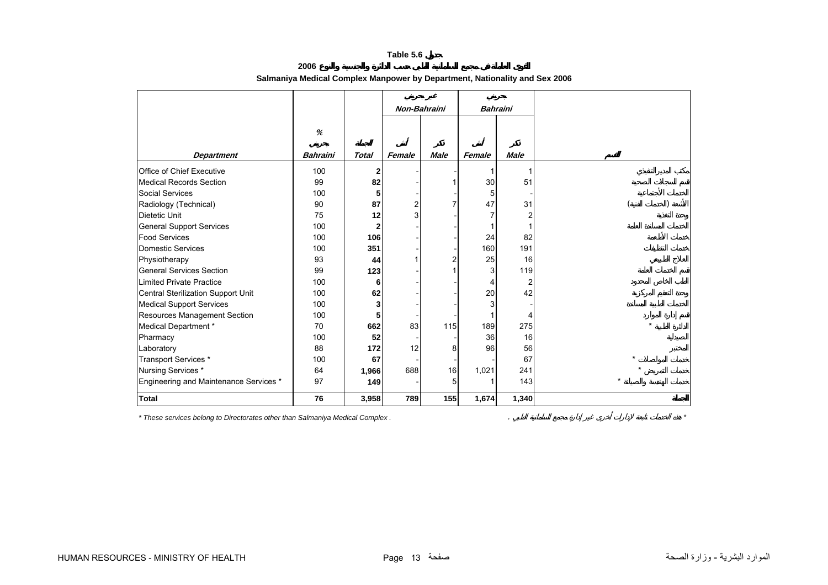<span id="page-11-0"></span>

|                                        |                 |              | Non-Bahraini   |             |        | <b>Bahraini</b>         |
|----------------------------------------|-----------------|--------------|----------------|-------------|--------|-------------------------|
|                                        |                 |              |                |             |        |                         |
|                                        | %               |              |                |             |        |                         |
| <b>Department</b>                      | <b>Bahraini</b> | <b>Total</b> | Female         | <b>Male</b> | Female | <b>Male</b>             |
| Office of Chief Executive              | 100             | $\mathbf{2}$ |                |             |        | 1                       |
|                                        | 99              |              |                |             |        |                         |
| <b>Medical Records Section</b>         |                 | 82           |                |             | 30     | 51                      |
| <b>Social Services</b>                 | 100             | 5            |                |             | 5      |                         |
| Radiology (Technical)                  | 90              | 87           | $\overline{c}$ |             | 47     | 31                      |
| Dietetic Unit                          | 75              | 12           |                |             |        | $\overline{\mathbf{c}}$ |
| <b>General Support Services</b>        | 100             | 2            |                |             |        | 1                       |
| <b>Food Services</b>                   | 100             | 106          |                |             | 24     | 82                      |
| <b>Domestic Services</b>               | 100             | 351          |                |             | 160    | 191                     |
| Physiotherapy                          | 93              | 44           |                |             | 25     | 16                      |
| <b>General Services Section</b>        | 99              | 123          |                |             | 3      | 119                     |
| <b>Limited Private Practice</b>        | 100             | 6            |                |             | 4      | $\overline{c}$          |
| Central Sterilization Support Unit     | 100             | 62           |                |             | 20     | 42                      |
| <b>Medical Support Services</b>        | 100             | 3            |                |             | 3      |                         |
| Resources Management Section           | 100             | 5            |                |             |        | 4                       |
| Medical Department *                   | 70              | 662          | 83             | 115         | 189    | 275                     |
| Pharmacy                               | 100             | 52           |                |             | 36     | 16                      |
| Laboratory                             | 88              | 172          | 12             | 8           | 96     | 56                      |
| Transport Services *                   | 100             | 67           |                |             |        | 67                      |
| Nursing Services *                     | 64              | 1,966        | 688            | 16          | 1,021  | 241                     |
| Engineering and Maintenance Services * | 97              | 149          |                | 5           |        | 143                     |
| <b>Total</b>                           | 76              | 3,958        | 789            | 155         | 1,674  | 1,340                   |

**2006 Salmaniya Medical Complex Manpower by Department, Nationality and Sex 2006**

*\* These services belong to Directorates other than Salmaniya Medical Complex .* . *\**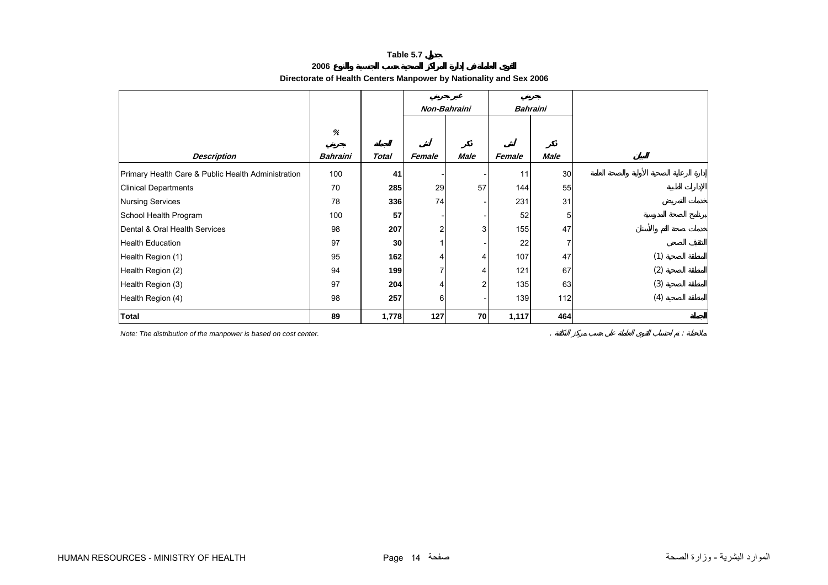<span id="page-12-0"></span>

|                                                    | Directorate of Health Genters Manpower by Nationality and Sex 2000 |              |              |             |                 |             |     |
|----------------------------------------------------|--------------------------------------------------------------------|--------------|--------------|-------------|-----------------|-------------|-----|
|                                                    |                                                                    |              | Non-Bahraini |             | <b>Bahraini</b> |             |     |
|                                                    | $\%$                                                               |              |              |             |                 |             |     |
| <b>Description</b>                                 | <b>Bahraini</b>                                                    | <b>Total</b> | Female       | <b>Male</b> | Female          | <b>Male</b> |     |
| Primary Health Care & Public Health Administration | 100                                                                | 41           |              |             | 11              | 30          |     |
| <b>Clinical Departments</b>                        | 70                                                                 | 285          | 29           | 57          | 144             | 55          |     |
| <b>Nursing Services</b>                            | 78                                                                 | 336          | 74           |             | 231             | 31          |     |
| School Health Program                              | 100                                                                | 57           |              |             | 52              | 5           |     |
| Dental & Oral Health Services                      | 98                                                                 | 207          | 2            | 3           | 155             | 47          |     |
| <b>Health Education</b>                            | 97                                                                 | 30           |              |             | 22              |             |     |
| Health Region (1)                                  | 95                                                                 | 162          |              | 4           | 107             | 47          | (1) |
| Health Region (2)                                  | 94                                                                 | 199          |              | 4           | 121             | 67          | (2) |
| Health Region (3)                                  | 97                                                                 | 204          |              | 2           | 135             | 63          | (3) |
| Health Region (4)                                  | 98                                                                 | 257          | 6            |             | 139             | 112         | (4) |
| <b>Total</b>                                       | 89                                                                 | 1,778        | 127          | 70          | 1,117           | 464         |     |

#### **2006 Directorate of Health Centers Manpower by Nationality and Sex 2006**

*Note: The distribution of the manpower is based on cost center.* . :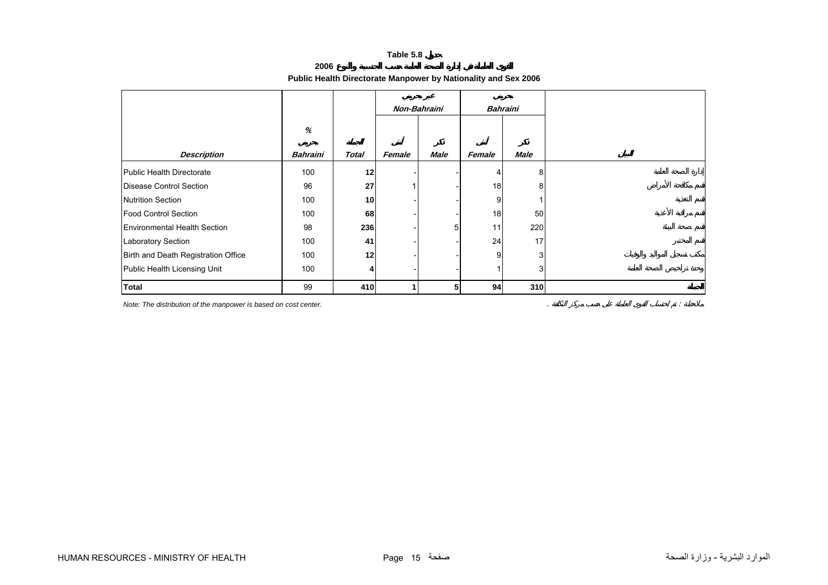**2006**

# **Public Health Directorate Manpower by Nationality and Sex 2006**

<span id="page-13-0"></span>

|                                     |                 |                 | Non-Bahraini |      |        | <b>Bahraini</b> |
|-------------------------------------|-----------------|-----------------|--------------|------|--------|-----------------|
|                                     | $\%$            |                 |              |      |        |                 |
|                                     |                 |                 |              |      |        |                 |
| <b>Description</b>                  | <b>Bahraini</b> | <b>Total</b>    | Female       | Male | Female | <b>Male</b>     |
| Public Health Directorate           | 100             | 12              |              |      | 4      | 8               |
| Disease Control Section             | 96              | 27              |              |      | 18     | 8               |
| <b>Nutrition Section</b>            | 100             | 10 <sup>1</sup> |              |      | 9      |                 |
| <b>Food Control Section</b>         | 100             | 68              |              |      | 18     | 50              |
| <b>Environmental Health Section</b> | 98              | 236             |              | 5    | 11     | 220             |
| <b>Laboratory Section</b>           | 100             | 41              |              |      | 24     | 17              |
| Birth and Death Registration Office | 100             | 12              |              |      | 9      | $\overline{3}$  |
| Public Health Licensing Unit        | 100             | $\vert$         |              |      |        | 3               |
| <b>Total</b>                        | 99              | 410             |              | 5    | 94     | 310             |

*Note:* The distribution of the manpower is based on cost center. *Sharehoff Contract Contract Contract Contract Contract Contract Contract Contract Contract Contract Contract Contract Contract Contract Contract Contract*